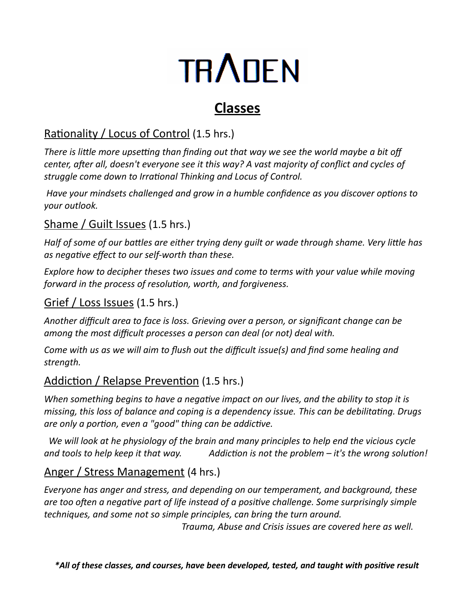# **TRADEN**

## **Classes**

### Rationality / Locus of Control (1.5 hrs.)

*There is little more upsetting than finding out that way we see the world maybe a bit off center, after all, doesn't everyone see it this way? A vast majority of conflict and cycles of struggle come down to Irrational Thinking and Locus of Control.* 

*Have your mindsets challenged and grow in a humble confidence as you discover options to your outlook.* 

#### Shame / Guilt Issues (1.5 hrs.)

*Half of some of our battles are either trying deny guilt or wade through shame. Very little has as negative effect to our self-worth than these.*

*Explore how to decipher theses two issues and come to terms with your value while moving forward in the process of resolution, worth, and forgiveness.*

#### Grief / Loss Issues (1.5 hrs.)

*Another difficult area to face is loss. Grieving over a person, or significant change can be among the most difficult processes a person can deal (or not) deal with.*

*Come with us as we will aim to flush out the difficult issue(s) and find some healing and strength.*

#### Addiction / Relapse Prevention (1.5 hrs.)

*When something begins to have a negative impact on our lives, and the ability to stop it is missing, this loss of balance and coping is a dependency issue. This can be debilitating. Drugs are only a portion, even a "good" thing can be addictive.*

*We will look at he physiology of the brain and many principles to help end the vicious cycle and tools to help keep it that way. Addiction is not the problem – it's the wrong solution!*

#### Anger / Stress Management (4 hrs.)

*Everyone has anger and stress, and depending on our temperament, and background, these are too often a negative part of life instead of a positive challenge. Some surprisingly simple techniques, and some not so simple principles, can bring the turn around.* 

*Trauma, Abuse and Crisis issues are covered here as well.*